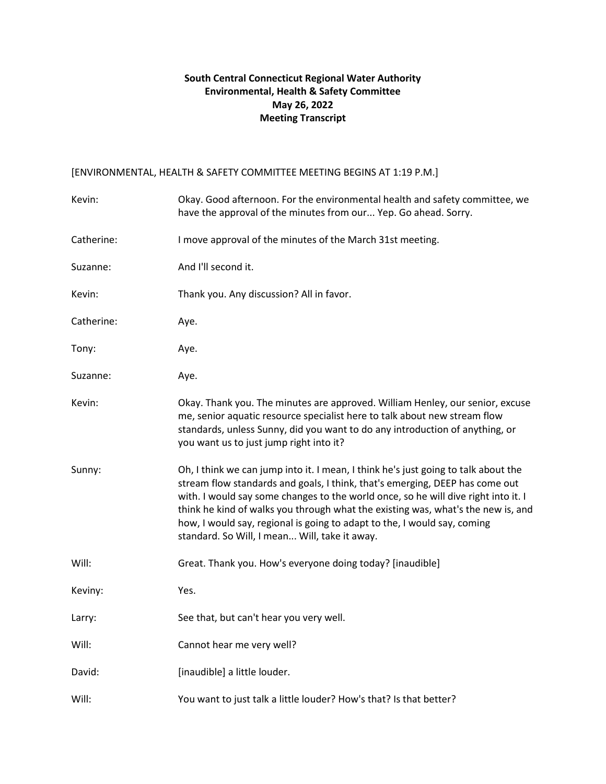## **South Central Connecticut Regional Water Authority Environmental, Health & Safety Committee May 26, 2022 Meeting Transcript**

## [ENVIRONMENTAL, HEALTH & SAFETY COMMITTEE MEETING BEGINS AT 1:19 P.M.]

| Kevin:     | Okay. Good afternoon. For the environmental health and safety committee, we<br>have the approval of the minutes from our Yep. Go ahead. Sorry.                                                                                                                                                                                                                                                                                                                            |
|------------|---------------------------------------------------------------------------------------------------------------------------------------------------------------------------------------------------------------------------------------------------------------------------------------------------------------------------------------------------------------------------------------------------------------------------------------------------------------------------|
| Catherine: | I move approval of the minutes of the March 31st meeting.                                                                                                                                                                                                                                                                                                                                                                                                                 |
| Suzanne:   | And I'll second it.                                                                                                                                                                                                                                                                                                                                                                                                                                                       |
| Kevin:     | Thank you. Any discussion? All in favor.                                                                                                                                                                                                                                                                                                                                                                                                                                  |
| Catherine: | Aye.                                                                                                                                                                                                                                                                                                                                                                                                                                                                      |
| Tony:      | Aye.                                                                                                                                                                                                                                                                                                                                                                                                                                                                      |
| Suzanne:   | Aye.                                                                                                                                                                                                                                                                                                                                                                                                                                                                      |
| Kevin:     | Okay. Thank you. The minutes are approved. William Henley, our senior, excuse<br>me, senior aquatic resource specialist here to talk about new stream flow<br>standards, unless Sunny, did you want to do any introduction of anything, or<br>you want us to just jump right into it?                                                                                                                                                                                     |
| Sunny:     | Oh, I think we can jump into it. I mean, I think he's just going to talk about the<br>stream flow standards and goals, I think, that's emerging, DEEP has come out<br>with. I would say some changes to the world once, so he will dive right into it. I<br>think he kind of walks you through what the existing was, what's the new is, and<br>how, I would say, regional is going to adapt to the, I would say, coming<br>standard. So Will, I mean Will, take it away. |
| Will:      | Great. Thank you. How's everyone doing today? [inaudible]                                                                                                                                                                                                                                                                                                                                                                                                                 |
| Keviny:    | Yes.                                                                                                                                                                                                                                                                                                                                                                                                                                                                      |
| Larry:     | See that, but can't hear you very well.                                                                                                                                                                                                                                                                                                                                                                                                                                   |
| Will:      | Cannot hear me very well?                                                                                                                                                                                                                                                                                                                                                                                                                                                 |
| David:     | [inaudible] a little louder.                                                                                                                                                                                                                                                                                                                                                                                                                                              |
| Will:      | You want to just talk a little louder? How's that? Is that better?                                                                                                                                                                                                                                                                                                                                                                                                        |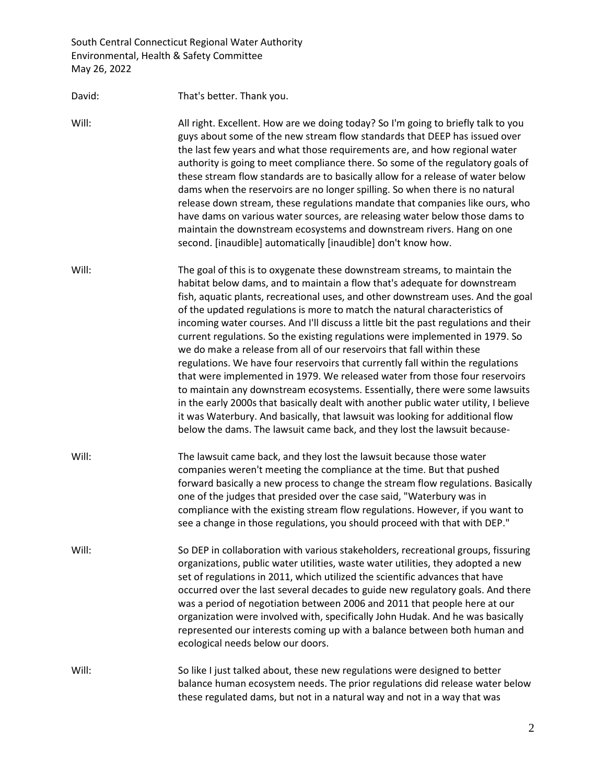David: That's better. Thank you. Will: All right. Excellent. How are we doing today? So I'm going to briefly talk to you guys about some of the new stream flow standards that DEEP has issued over the last few years and what those requirements are, and how regional water authority is going to meet compliance there. So some of the regulatory goals of these stream flow standards are to basically allow for a release of water below dams when the reservoirs are no longer spilling. So when there is no natural release down stream, these regulations mandate that companies like ours, who have dams on various water sources, are releasing water below those dams to maintain the downstream ecosystems and downstream rivers. Hang on one second. [inaudible] automatically [inaudible] don't know how. Will: The goal of this is to oxygenate these downstream streams, to maintain the habitat below dams, and to maintain a flow that's adequate for downstream fish, aquatic plants, recreational uses, and other downstream uses. And the goal of the updated regulations is more to match the natural characteristics of incoming water courses. And I'll discuss a little bit the past regulations and their current regulations. So the existing regulations were implemented in 1979. So we do make a release from all of our reservoirs that fall within these regulations. We have four reservoirs that currently fall within the regulations that were implemented in 1979. We released water from those four reservoirs to maintain any downstream ecosystems. Essentially, there were some lawsuits in the early 2000s that basically dealt with another public water utility, I believe it was Waterbury. And basically, that lawsuit was looking for additional flow below the dams. The lawsuit came back, and they lost the lawsuit because-Will: The lawsuit came back, and they lost the lawsuit because those water companies weren't meeting the compliance at the time. But that pushed forward basically a new process to change the stream flow regulations. Basically one of the judges that presided over the case said, "Waterbury was in compliance with the existing stream flow regulations. However, if you want to see a change in those regulations, you should proceed with that with DEP." Will: So DEP in collaboration with various stakeholders, recreational groups, fissuring organizations, public water utilities, waste water utilities, they adopted a new set of regulations in 2011, which utilized the scientific advances that have occurred over the last several decades to guide new regulatory goals. And there was a period of negotiation between 2006 and 2011 that people here at our organization were involved with, specifically John Hudak. And he was basically represented our interests coming up with a balance between both human and ecological needs below our doors. Will: So like I just talked about, these new regulations were designed to better balance human ecosystem needs. The prior regulations did release water below these regulated dams, but not in a natural way and not in a way that was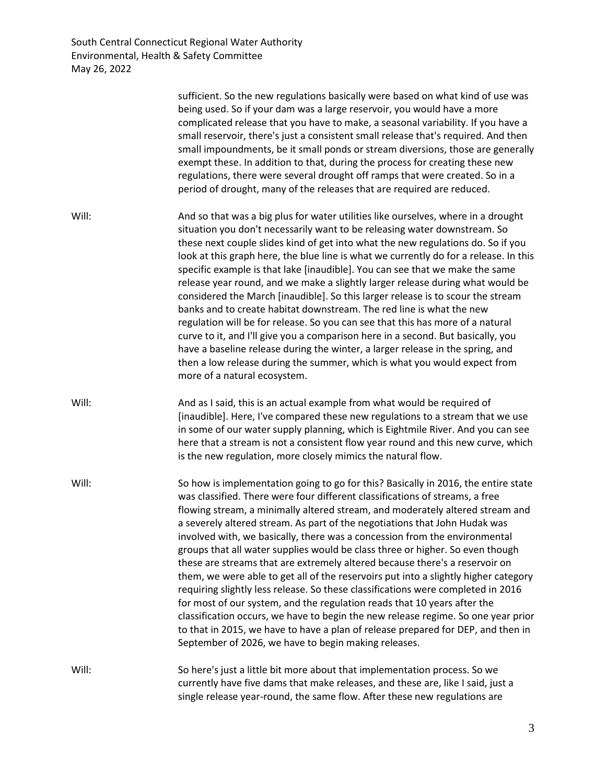|       | sufficient. So the new regulations basically were based on what kind of use was<br>being used. So if your dam was a large reservoir, you would have a more<br>complicated release that you have to make, a seasonal variability. If you have a<br>small reservoir, there's just a consistent small release that's required. And then<br>small impoundments, be it small ponds or stream diversions, those are generally<br>exempt these. In addition to that, during the process for creating these new<br>regulations, there were several drought off ramps that were created. So in a<br>period of drought, many of the releases that are required are reduced.                                                                                                                                                                                                                                                                                                                                                                                                       |
|-------|-------------------------------------------------------------------------------------------------------------------------------------------------------------------------------------------------------------------------------------------------------------------------------------------------------------------------------------------------------------------------------------------------------------------------------------------------------------------------------------------------------------------------------------------------------------------------------------------------------------------------------------------------------------------------------------------------------------------------------------------------------------------------------------------------------------------------------------------------------------------------------------------------------------------------------------------------------------------------------------------------------------------------------------------------------------------------|
| Will: | And so that was a big plus for water utilities like ourselves, where in a drought<br>situation you don't necessarily want to be releasing water downstream. So<br>these next couple slides kind of get into what the new regulations do. So if you<br>look at this graph here, the blue line is what we currently do for a release. In this<br>specific example is that lake [inaudible]. You can see that we make the same<br>release year round, and we make a slightly larger release during what would be<br>considered the March [inaudible]. So this larger release is to scour the stream<br>banks and to create habitat downstream. The red line is what the new<br>regulation will be for release. So you can see that this has more of a natural<br>curve to it, and I'll give you a comparison here in a second. But basically, you<br>have a baseline release during the winter, a larger release in the spring, and<br>then a low release during the summer, which is what you would expect from<br>more of a natural ecosystem.                           |
| Will: | And as I said, this is an actual example from what would be required of<br>[inaudible]. Here, I've compared these new regulations to a stream that we use<br>in some of our water supply planning, which is Eightmile River. And you can see<br>here that a stream is not a consistent flow year round and this new curve, which<br>is the new regulation, more closely mimics the natural flow.                                                                                                                                                                                                                                                                                                                                                                                                                                                                                                                                                                                                                                                                        |
| Will: | So how is implementation going to go for this? Basically in 2016, the entire state<br>was classified. There were four different classifications of streams, a free<br>flowing stream, a minimally altered stream, and moderately altered stream and<br>a severely altered stream. As part of the negotiations that John Hudak was<br>involved with, we basically, there was a concession from the environmental<br>groups that all water supplies would be class three or higher. So even though<br>these are streams that are extremely altered because there's a reservoir on<br>them, we were able to get all of the reservoirs put into a slightly higher category<br>requiring slightly less release. So these classifications were completed in 2016<br>for most of our system, and the regulation reads that 10 years after the<br>classification occurs, we have to begin the new release regime. So one year prior<br>to that in 2015, we have to have a plan of release prepared for DEP, and then in<br>September of 2026, we have to begin making releases. |
| Will: | So here's just a little bit more about that implementation process. So we<br>currently have five dams that make releases, and these are, like I said, just a<br>single release year-round, the same flow. After these new regulations are                                                                                                                                                                                                                                                                                                                                                                                                                                                                                                                                                                                                                                                                                                                                                                                                                               |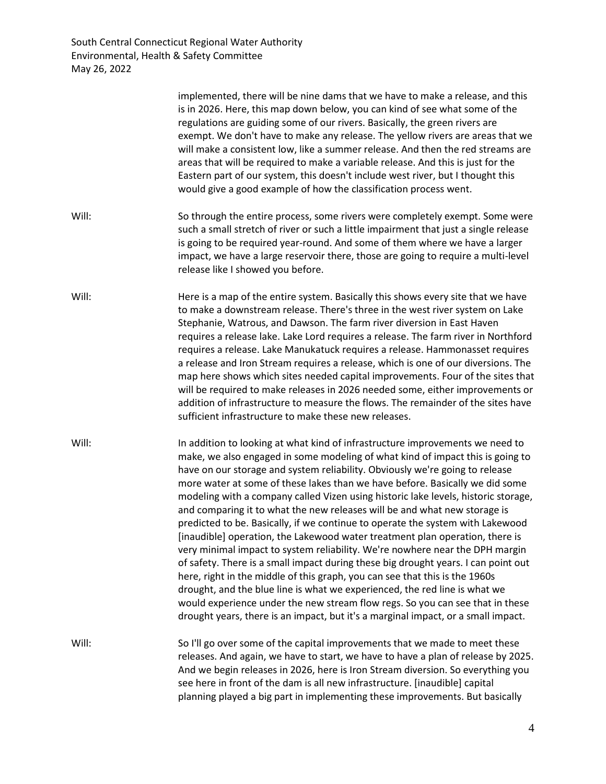|       | implemented, there will be nine dams that we have to make a release, and this<br>is in 2026. Here, this map down below, you can kind of see what some of the<br>regulations are guiding some of our rivers. Basically, the green rivers are<br>exempt. We don't have to make any release. The yellow rivers are areas that we<br>will make a consistent low, like a summer release. And then the red streams are<br>areas that will be required to make a variable release. And this is just for the<br>Eastern part of our system, this doesn't include west river, but I thought this<br>would give a good example of how the classification process went.                                                                                                                                                                                                                                                                                                                                                                                                                                                                                                                  |
|-------|-------------------------------------------------------------------------------------------------------------------------------------------------------------------------------------------------------------------------------------------------------------------------------------------------------------------------------------------------------------------------------------------------------------------------------------------------------------------------------------------------------------------------------------------------------------------------------------------------------------------------------------------------------------------------------------------------------------------------------------------------------------------------------------------------------------------------------------------------------------------------------------------------------------------------------------------------------------------------------------------------------------------------------------------------------------------------------------------------------------------------------------------------------------------------------|
| Will: | So through the entire process, some rivers were completely exempt. Some were<br>such a small stretch of river or such a little impairment that just a single release<br>is going to be required year-round. And some of them where we have a larger<br>impact, we have a large reservoir there, those are going to require a multi-level<br>release like I showed you before.                                                                                                                                                                                                                                                                                                                                                                                                                                                                                                                                                                                                                                                                                                                                                                                                 |
| Will: | Here is a map of the entire system. Basically this shows every site that we have<br>to make a downstream release. There's three in the west river system on Lake<br>Stephanie, Watrous, and Dawson. The farm river diversion in East Haven<br>requires a release lake. Lake Lord requires a release. The farm river in Northford<br>requires a release. Lake Manukatuck requires a release. Hammonasset requires<br>a release and Iron Stream requires a release, which is one of our diversions. The<br>map here shows which sites needed capital improvements. Four of the sites that<br>will be required to make releases in 2026 needed some, either improvements or<br>addition of infrastructure to measure the flows. The remainder of the sites have<br>sufficient infrastructure to make these new releases.                                                                                                                                                                                                                                                                                                                                                         |
| Will: | In addition to looking at what kind of infrastructure improvements we need to<br>make, we also engaged in some modeling of what kind of impact this is going to<br>have on our storage and system reliability. Obviously we're going to release<br>more water at some of these lakes than we have before. Basically we did some<br>modeling with a company called Vizen using historic lake levels, historic storage,<br>and comparing it to what the new releases will be and what new storage is<br>predicted to be. Basically, if we continue to operate the system with Lakewood<br>[inaudible] operation, the Lakewood water treatment plan operation, there is<br>very minimal impact to system reliability. We're nowhere near the DPH margin<br>of safety. There is a small impact during these big drought years. I can point out<br>here, right in the middle of this graph, you can see that this is the 1960s<br>drought, and the blue line is what we experienced, the red line is what we<br>would experience under the new stream flow regs. So you can see that in these<br>drought years, there is an impact, but it's a marginal impact, or a small impact. |
| Will: | So I'll go over some of the capital improvements that we made to meet these<br>releases. And again, we have to start, we have to have a plan of release by 2025.<br>And we begin releases in 2026, here is Iron Stream diversion. So everything you<br>see here in front of the dam is all new infrastructure. [inaudible] capital<br>planning played a big part in implementing these improvements. But basically                                                                                                                                                                                                                                                                                                                                                                                                                                                                                                                                                                                                                                                                                                                                                            |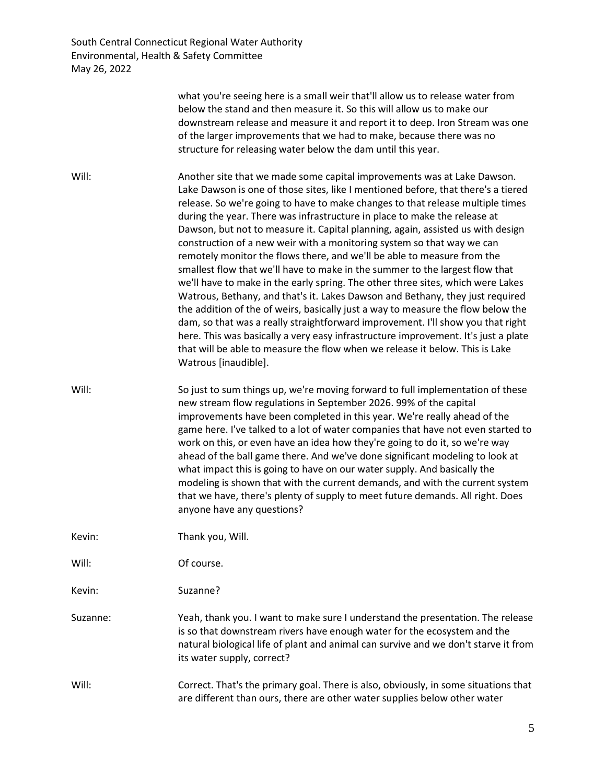|          | what you're seeing here is a small weir that'll allow us to release water from<br>below the stand and then measure it. So this will allow us to make our<br>downstream release and measure it and report it to deep. Iron Stream was one<br>of the larger improvements that we had to make, because there was no<br>structure for releasing water below the dam until this year.                                                                                                                                                                                                                                                                                                                                                                                                                                                                                                                                                                                                                                                                                                                                                                                                             |
|----------|----------------------------------------------------------------------------------------------------------------------------------------------------------------------------------------------------------------------------------------------------------------------------------------------------------------------------------------------------------------------------------------------------------------------------------------------------------------------------------------------------------------------------------------------------------------------------------------------------------------------------------------------------------------------------------------------------------------------------------------------------------------------------------------------------------------------------------------------------------------------------------------------------------------------------------------------------------------------------------------------------------------------------------------------------------------------------------------------------------------------------------------------------------------------------------------------|
| Will:    | Another site that we made some capital improvements was at Lake Dawson.<br>Lake Dawson is one of those sites, like I mentioned before, that there's a tiered<br>release. So we're going to have to make changes to that release multiple times<br>during the year. There was infrastructure in place to make the release at<br>Dawson, but not to measure it. Capital planning, again, assisted us with design<br>construction of a new weir with a monitoring system so that way we can<br>remotely monitor the flows there, and we'll be able to measure from the<br>smallest flow that we'll have to make in the summer to the largest flow that<br>we'll have to make in the early spring. The other three sites, which were Lakes<br>Watrous, Bethany, and that's it. Lakes Dawson and Bethany, they just required<br>the addition of the of weirs, basically just a way to measure the flow below the<br>dam, so that was a really straightforward improvement. I'll show you that right<br>here. This was basically a very easy infrastructure improvement. It's just a plate<br>that will be able to measure the flow when we release it below. This is Lake<br>Watrous [inaudible]. |
| Will:    | So just to sum things up, we're moving forward to full implementation of these<br>new stream flow regulations in September 2026. 99% of the capital<br>improvements have been completed in this year. We're really ahead of the<br>game here. I've talked to a lot of water companies that have not even started to<br>work on this, or even have an idea how they're going to do it, so we're way<br>ahead of the ball game there. And we've done significant modeling to look at<br>what impact this is going to have on our water supply. And basically the<br>modeling is shown that with the current demands, and with the current system<br>that we have, there's plenty of supply to meet future demands. All right. Does<br>anyone have any questions?                                                                                                                                                                                                                                                                                                                                                                                                                               |
| Kevin:   | Thank you, Will.                                                                                                                                                                                                                                                                                                                                                                                                                                                                                                                                                                                                                                                                                                                                                                                                                                                                                                                                                                                                                                                                                                                                                                             |
| Will:    | Of course.                                                                                                                                                                                                                                                                                                                                                                                                                                                                                                                                                                                                                                                                                                                                                                                                                                                                                                                                                                                                                                                                                                                                                                                   |
| Kevin:   | Suzanne?                                                                                                                                                                                                                                                                                                                                                                                                                                                                                                                                                                                                                                                                                                                                                                                                                                                                                                                                                                                                                                                                                                                                                                                     |
| Suzanne: | Yeah, thank you. I want to make sure I understand the presentation. The release<br>is so that downstream rivers have enough water for the ecosystem and the<br>natural biological life of plant and animal can survive and we don't starve it from<br>its water supply, correct?                                                                                                                                                                                                                                                                                                                                                                                                                                                                                                                                                                                                                                                                                                                                                                                                                                                                                                             |
| Will:    | Correct. That's the primary goal. There is also, obviously, in some situations that<br>are different than ours, there are other water supplies below other water                                                                                                                                                                                                                                                                                                                                                                                                                                                                                                                                                                                                                                                                                                                                                                                                                                                                                                                                                                                                                             |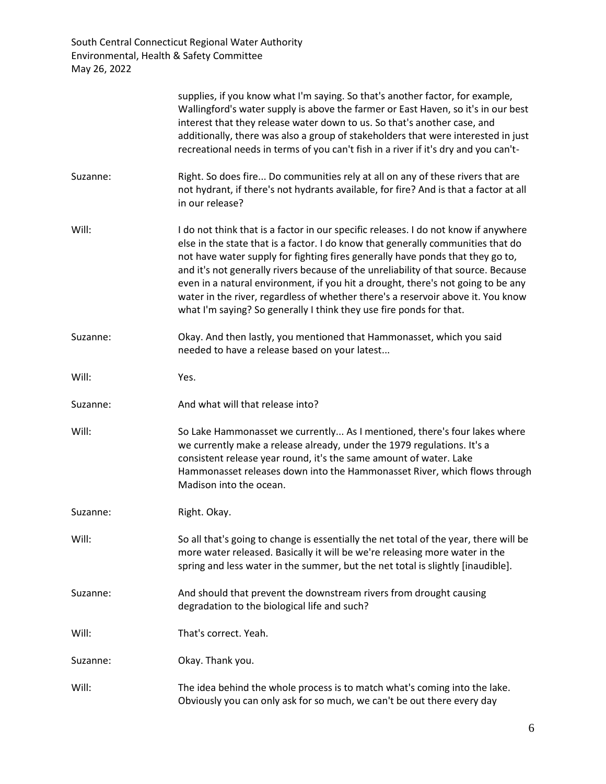|          | supplies, if you know what I'm saying. So that's another factor, for example,<br>Wallingford's water supply is above the farmer or East Haven, so it's in our best<br>interest that they release water down to us. So that's another case, and<br>additionally, there was also a group of stakeholders that were interested in just<br>recreational needs in terms of you can't fish in a river if it's dry and you can't-                                                                                                                                                                     |
|----------|------------------------------------------------------------------------------------------------------------------------------------------------------------------------------------------------------------------------------------------------------------------------------------------------------------------------------------------------------------------------------------------------------------------------------------------------------------------------------------------------------------------------------------------------------------------------------------------------|
| Suzanne: | Right. So does fire Do communities rely at all on any of these rivers that are<br>not hydrant, if there's not hydrants available, for fire? And is that a factor at all<br>in our release?                                                                                                                                                                                                                                                                                                                                                                                                     |
| Will:    | I do not think that is a factor in our specific releases. I do not know if anywhere<br>else in the state that is a factor. I do know that generally communities that do<br>not have water supply for fighting fires generally have ponds that they go to,<br>and it's not generally rivers because of the unreliability of that source. Because<br>even in a natural environment, if you hit a drought, there's not going to be any<br>water in the river, regardless of whether there's a reservoir above it. You know<br>what I'm saying? So generally I think they use fire ponds for that. |
| Suzanne: | Okay. And then lastly, you mentioned that Hammonasset, which you said<br>needed to have a release based on your latest                                                                                                                                                                                                                                                                                                                                                                                                                                                                         |
| Will:    | Yes.                                                                                                                                                                                                                                                                                                                                                                                                                                                                                                                                                                                           |
| Suzanne: | And what will that release into?                                                                                                                                                                                                                                                                                                                                                                                                                                                                                                                                                               |
| Will:    | So Lake Hammonasset we currently As I mentioned, there's four lakes where<br>we currently make a release already, under the 1979 regulations. It's a<br>consistent release year round, it's the same amount of water. Lake<br>Hammonasset releases down into the Hammonasset River, which flows through<br>Madison into the ocean.                                                                                                                                                                                                                                                             |
| Suzanne: | Right. Okay.                                                                                                                                                                                                                                                                                                                                                                                                                                                                                                                                                                                   |
| Will:    | So all that's going to change is essentially the net total of the year, there will be<br>more water released. Basically it will be we're releasing more water in the<br>spring and less water in the summer, but the net total is slightly [inaudible].                                                                                                                                                                                                                                                                                                                                        |
| Suzanne: | And should that prevent the downstream rivers from drought causing<br>degradation to the biological life and such?                                                                                                                                                                                                                                                                                                                                                                                                                                                                             |
| Will:    | That's correct. Yeah.                                                                                                                                                                                                                                                                                                                                                                                                                                                                                                                                                                          |
| Suzanne: | Okay. Thank you.                                                                                                                                                                                                                                                                                                                                                                                                                                                                                                                                                                               |
| Will:    | The idea behind the whole process is to match what's coming into the lake.<br>Obviously you can only ask for so much, we can't be out there every day                                                                                                                                                                                                                                                                                                                                                                                                                                          |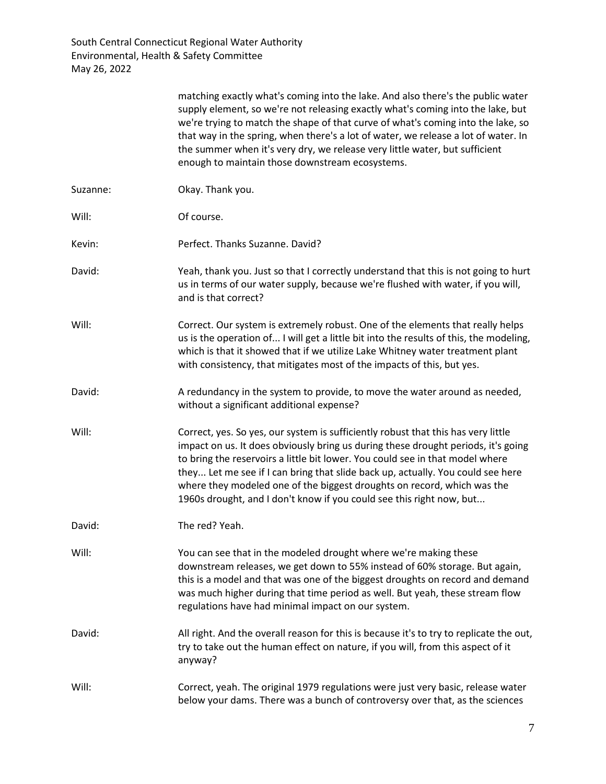|          | matching exactly what's coming into the lake. And also there's the public water<br>supply element, so we're not releasing exactly what's coming into the lake, but<br>we're trying to match the shape of that curve of what's coming into the lake, so<br>that way in the spring, when there's a lot of water, we release a lot of water. In<br>the summer when it's very dry, we release very little water, but sufficient<br>enough to maintain those downstream ecosystems.                |
|----------|-----------------------------------------------------------------------------------------------------------------------------------------------------------------------------------------------------------------------------------------------------------------------------------------------------------------------------------------------------------------------------------------------------------------------------------------------------------------------------------------------|
| Suzanne: | Okay. Thank you.                                                                                                                                                                                                                                                                                                                                                                                                                                                                              |
| Will:    | Of course.                                                                                                                                                                                                                                                                                                                                                                                                                                                                                    |
| Kevin:   | Perfect. Thanks Suzanne. David?                                                                                                                                                                                                                                                                                                                                                                                                                                                               |
| David:   | Yeah, thank you. Just so that I correctly understand that this is not going to hurt<br>us in terms of our water supply, because we're flushed with water, if you will,<br>and is that correct?                                                                                                                                                                                                                                                                                                |
| Will:    | Correct. Our system is extremely robust. One of the elements that really helps<br>us is the operation of I will get a little bit into the results of this, the modeling,<br>which is that it showed that if we utilize Lake Whitney water treatment plant<br>with consistency, that mitigates most of the impacts of this, but yes.                                                                                                                                                           |
| David:   | A redundancy in the system to provide, to move the water around as needed,<br>without a significant additional expense?                                                                                                                                                                                                                                                                                                                                                                       |
| Will:    | Correct, yes. So yes, our system is sufficiently robust that this has very little<br>impact on us. It does obviously bring us during these drought periods, it's going<br>to bring the reservoirs a little bit lower. You could see in that model where<br>they Let me see if I can bring that slide back up, actually. You could see here<br>where they modeled one of the biggest droughts on record, which was the<br>1960s drought, and I don't know if you could see this right now, but |
| David:   | The red? Yeah.                                                                                                                                                                                                                                                                                                                                                                                                                                                                                |
| Will:    | You can see that in the modeled drought where we're making these<br>downstream releases, we get down to 55% instead of 60% storage. But again,<br>this is a model and that was one of the biggest droughts on record and demand<br>was much higher during that time period as well. But yeah, these stream flow<br>regulations have had minimal impact on our system.                                                                                                                         |
| David:   | All right. And the overall reason for this is because it's to try to replicate the out,<br>try to take out the human effect on nature, if you will, from this aspect of it<br>anyway?                                                                                                                                                                                                                                                                                                         |
| Will:    | Correct, yeah. The original 1979 regulations were just very basic, release water<br>below your dams. There was a bunch of controversy over that, as the sciences                                                                                                                                                                                                                                                                                                                              |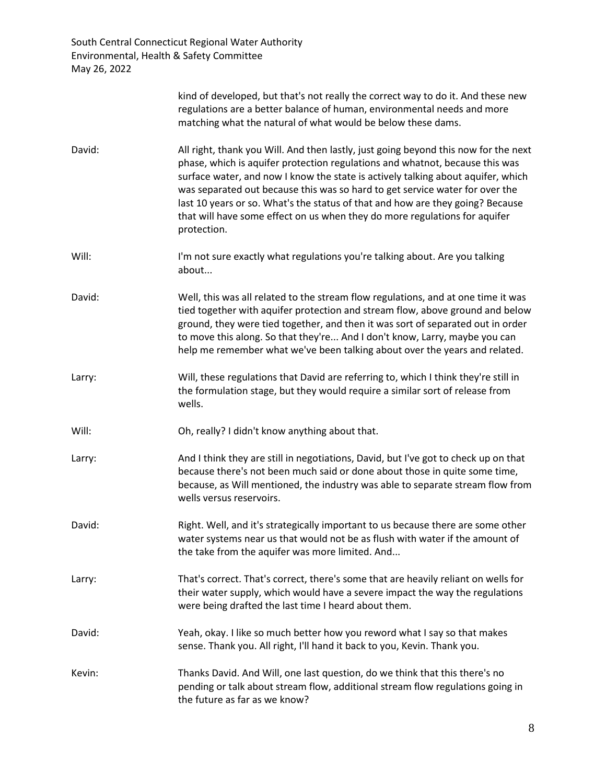|        | kind of developed, but that's not really the correct way to do it. And these new<br>regulations are a better balance of human, environmental needs and more<br>matching what the natural of what would be below these dams.                                                                                                                                                                                                                                                                                            |
|--------|------------------------------------------------------------------------------------------------------------------------------------------------------------------------------------------------------------------------------------------------------------------------------------------------------------------------------------------------------------------------------------------------------------------------------------------------------------------------------------------------------------------------|
| David: | All right, thank you Will. And then lastly, just going beyond this now for the next<br>phase, which is aquifer protection regulations and whatnot, because this was<br>surface water, and now I know the state is actively talking about aquifer, which<br>was separated out because this was so hard to get service water for over the<br>last 10 years or so. What's the status of that and how are they going? Because<br>that will have some effect on us when they do more regulations for aquifer<br>protection. |
| Will:  | I'm not sure exactly what regulations you're talking about. Are you talking<br>about                                                                                                                                                                                                                                                                                                                                                                                                                                   |
| David: | Well, this was all related to the stream flow regulations, and at one time it was<br>tied together with aquifer protection and stream flow, above ground and below<br>ground, they were tied together, and then it was sort of separated out in order<br>to move this along. So that they're And I don't know, Larry, maybe you can<br>help me remember what we've been talking about over the years and related.                                                                                                      |
| Larry: | Will, these regulations that David are referring to, which I think they're still in<br>the formulation stage, but they would require a similar sort of release from<br>wells.                                                                                                                                                                                                                                                                                                                                          |
| Will:  | Oh, really? I didn't know anything about that.                                                                                                                                                                                                                                                                                                                                                                                                                                                                         |
| Larry: | And I think they are still in negotiations, David, but I've got to check up on that<br>because there's not been much said or done about those in quite some time,<br>because, as Will mentioned, the industry was able to separate stream flow from<br>wells versus reservoirs.                                                                                                                                                                                                                                        |
| David: | Right. Well, and it's strategically important to us because there are some other<br>water systems near us that would not be as flush with water if the amount of<br>the take from the aquifer was more limited. And                                                                                                                                                                                                                                                                                                    |
| Larry: | That's correct. That's correct, there's some that are heavily reliant on wells for<br>their water supply, which would have a severe impact the way the regulations<br>were being drafted the last time I heard about them.                                                                                                                                                                                                                                                                                             |
| David: | Yeah, okay. I like so much better how you reword what I say so that makes<br>sense. Thank you. All right, I'll hand it back to you, Kevin. Thank you.                                                                                                                                                                                                                                                                                                                                                                  |
| Kevin: | Thanks David. And Will, one last question, do we think that this there's no<br>pending or talk about stream flow, additional stream flow regulations going in<br>the future as far as we know?                                                                                                                                                                                                                                                                                                                         |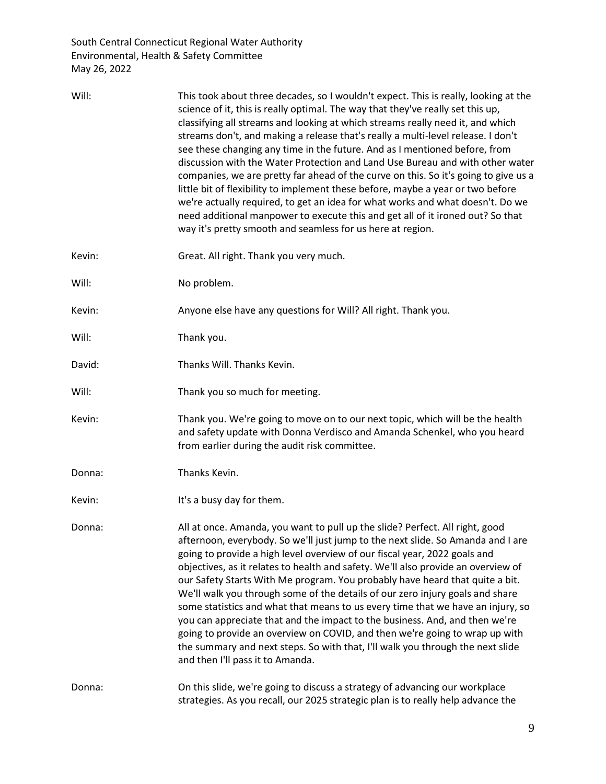| Will:  | This took about three decades, so I wouldn't expect. This is really, looking at the<br>science of it, this is really optimal. The way that they've really set this up,<br>classifying all streams and looking at which streams really need it, and which<br>streams don't, and making a release that's really a multi-level release. I don't<br>see these changing any time in the future. And as I mentioned before, from<br>discussion with the Water Protection and Land Use Bureau and with other water<br>companies, we are pretty far ahead of the curve on this. So it's going to give us a<br>little bit of flexibility to implement these before, maybe a year or two before<br>we're actually required, to get an idea for what works and what doesn't. Do we<br>need additional manpower to execute this and get all of it ironed out? So that<br>way it's pretty smooth and seamless for us here at region. |
|--------|-------------------------------------------------------------------------------------------------------------------------------------------------------------------------------------------------------------------------------------------------------------------------------------------------------------------------------------------------------------------------------------------------------------------------------------------------------------------------------------------------------------------------------------------------------------------------------------------------------------------------------------------------------------------------------------------------------------------------------------------------------------------------------------------------------------------------------------------------------------------------------------------------------------------------|
| Kevin: | Great. All right. Thank you very much.                                                                                                                                                                                                                                                                                                                                                                                                                                                                                                                                                                                                                                                                                                                                                                                                                                                                                  |
| Will:  | No problem.                                                                                                                                                                                                                                                                                                                                                                                                                                                                                                                                                                                                                                                                                                                                                                                                                                                                                                             |
| Kevin: | Anyone else have any questions for Will? All right. Thank you.                                                                                                                                                                                                                                                                                                                                                                                                                                                                                                                                                                                                                                                                                                                                                                                                                                                          |
| Will:  | Thank you.                                                                                                                                                                                                                                                                                                                                                                                                                                                                                                                                                                                                                                                                                                                                                                                                                                                                                                              |
| David: | Thanks Will. Thanks Kevin.                                                                                                                                                                                                                                                                                                                                                                                                                                                                                                                                                                                                                                                                                                                                                                                                                                                                                              |
| Will:  | Thank you so much for meeting.                                                                                                                                                                                                                                                                                                                                                                                                                                                                                                                                                                                                                                                                                                                                                                                                                                                                                          |
| Kevin: | Thank you. We're going to move on to our next topic, which will be the health<br>and safety update with Donna Verdisco and Amanda Schenkel, who you heard<br>from earlier during the audit risk committee.                                                                                                                                                                                                                                                                                                                                                                                                                                                                                                                                                                                                                                                                                                              |
| Donna: | Thanks Kevin.                                                                                                                                                                                                                                                                                                                                                                                                                                                                                                                                                                                                                                                                                                                                                                                                                                                                                                           |
| Kevin: | It's a busy day for them.                                                                                                                                                                                                                                                                                                                                                                                                                                                                                                                                                                                                                                                                                                                                                                                                                                                                                               |
| Donna: | All at once. Amanda, you want to pull up the slide? Perfect. All right, good<br>afternoon, everybody. So we'll just jump to the next slide. So Amanda and I are<br>going to provide a high level overview of our fiscal year, 2022 goals and<br>objectives, as it relates to health and safety. We'll also provide an overview of<br>our Safety Starts With Me program. You probably have heard that quite a bit.<br>We'll walk you through some of the details of our zero injury goals and share<br>some statistics and what that means to us every time that we have an injury, so<br>you can appreciate that and the impact to the business. And, and then we're<br>going to provide an overview on COVID, and then we're going to wrap up with<br>the summary and next steps. So with that, I'll walk you through the next slide<br>and then I'll pass it to Amanda.                                               |
| Donna: | On this slide, we're going to discuss a strategy of advancing our workplace<br>strategies. As you recall, our 2025 strategic plan is to really help advance the                                                                                                                                                                                                                                                                                                                                                                                                                                                                                                                                                                                                                                                                                                                                                         |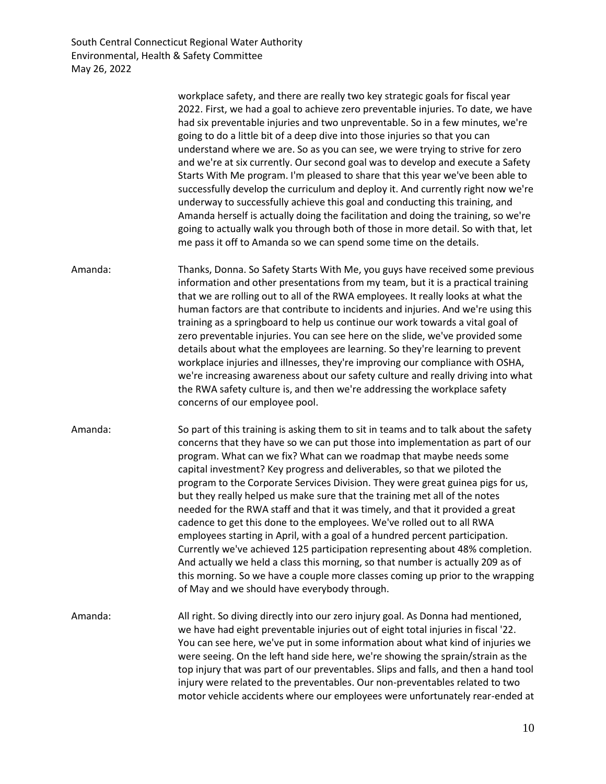workplace safety, and there are really two key strategic goals for fiscal year 2022. First, we had a goal to achieve zero preventable injuries. To date, we have had six preventable injuries and two unpreventable. So in a few minutes, we're going to do a little bit of a deep dive into those injuries so that you can understand where we are. So as you can see, we were trying to strive for zero and we're at six currently. Our second goal was to develop and execute a Safety Starts With Me program. I'm pleased to share that this year we've been able to successfully develop the curriculum and deploy it. And currently right now we're underway to successfully achieve this goal and conducting this training, and Amanda herself is actually doing the facilitation and doing the training, so we're going to actually walk you through both of those in more detail. So with that, let me pass it off to Amanda so we can spend some time on the details. Amanda: Thanks, Donna. So Safety Starts With Me, you guys have received some previous information and other presentations from my team, but it is a practical training that we are rolling out to all of the RWA employees. It really looks at what the human factors are that contribute to incidents and injuries. And we're using this training as a springboard to help us continue our work towards a vital goal of zero preventable injuries. You can see here on the slide, we've provided some details about what the employees are learning. So they're learning to prevent workplace injuries and illnesses, they're improving our compliance with OSHA, we're increasing awareness about our safety culture and really driving into what the RWA safety culture is, and then we're addressing the workplace safety concerns of our employee pool. Amanda: So part of this training is asking them to sit in teams and to talk about the safety concerns that they have so we can put those into implementation as part of our program. What can we fix? What can we roadmap that maybe needs some capital investment? Key progress and deliverables, so that we piloted the program to the Corporate Services Division. They were great guinea pigs for us, but they really helped us make sure that the training met all of the notes needed for the RWA staff and that it was timely, and that it provided a great cadence to get this done to the employees. We've rolled out to all RWA employees starting in April, with a goal of a hundred percent participation. Currently we've achieved 125 participation representing about 48% completion. And actually we held a class this morning, so that number is actually 209 as of this morning. So we have a couple more classes coming up prior to the wrapping of May and we should have everybody through. Amanda: All right. So diving directly into our zero injury goal. As Donna had mentioned, we have had eight preventable injuries out of eight total injuries in fiscal '22. You can see here, we've put in some information about what kind of injuries we were seeing. On the left hand side here, we're showing the sprain/strain as the top injury that was part of our preventables. Slips and falls, and then a hand tool injury were related to the preventables. Our non-preventables related to two motor vehicle accidents where our employees were unfortunately rear-ended at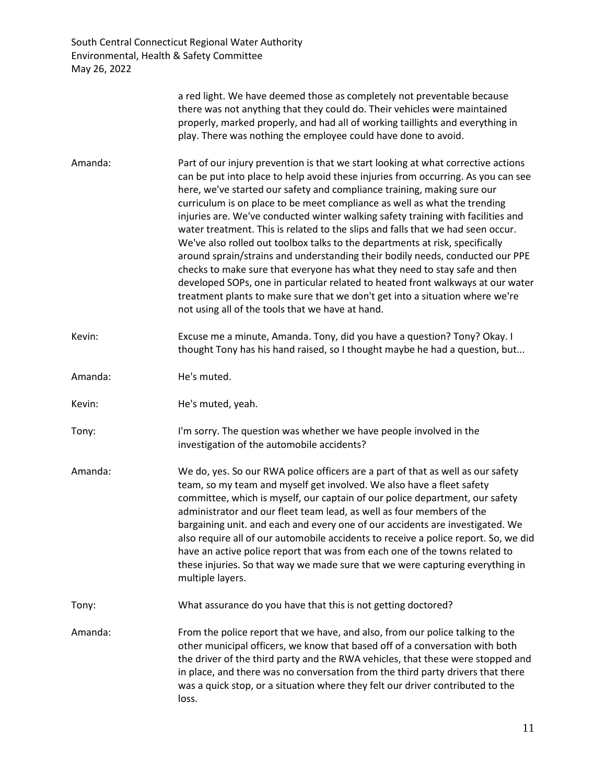|         | a red light. We have deemed those as completely not preventable because<br>there was not anything that they could do. Their vehicles were maintained<br>properly, marked properly, and had all of working taillights and everything in<br>play. There was nothing the employee could have done to avoid.                                                                                                                                                                                                                                                                                                                                                                                                                                                                                                                                                                                                                                                                    |
|---------|-----------------------------------------------------------------------------------------------------------------------------------------------------------------------------------------------------------------------------------------------------------------------------------------------------------------------------------------------------------------------------------------------------------------------------------------------------------------------------------------------------------------------------------------------------------------------------------------------------------------------------------------------------------------------------------------------------------------------------------------------------------------------------------------------------------------------------------------------------------------------------------------------------------------------------------------------------------------------------|
| Amanda: | Part of our injury prevention is that we start looking at what corrective actions<br>can be put into place to help avoid these injuries from occurring. As you can see<br>here, we've started our safety and compliance training, making sure our<br>curriculum is on place to be meet compliance as well as what the trending<br>injuries are. We've conducted winter walking safety training with facilities and<br>water treatment. This is related to the slips and falls that we had seen occur.<br>We've also rolled out toolbox talks to the departments at risk, specifically<br>around sprain/strains and understanding their bodily needs, conducted our PPE<br>checks to make sure that everyone has what they need to stay safe and then<br>developed SOPs, one in particular related to heated front walkways at our water<br>treatment plants to make sure that we don't get into a situation where we're<br>not using all of the tools that we have at hand. |
| Kevin:  | Excuse me a minute, Amanda. Tony, did you have a question? Tony? Okay. I<br>thought Tony has his hand raised, so I thought maybe he had a question, but                                                                                                                                                                                                                                                                                                                                                                                                                                                                                                                                                                                                                                                                                                                                                                                                                     |
| Amanda: | He's muted.                                                                                                                                                                                                                                                                                                                                                                                                                                                                                                                                                                                                                                                                                                                                                                                                                                                                                                                                                                 |
| Kevin:  | He's muted, yeah.                                                                                                                                                                                                                                                                                                                                                                                                                                                                                                                                                                                                                                                                                                                                                                                                                                                                                                                                                           |
| Tony:   | I'm sorry. The question was whether we have people involved in the<br>investigation of the automobile accidents?                                                                                                                                                                                                                                                                                                                                                                                                                                                                                                                                                                                                                                                                                                                                                                                                                                                            |
| Amanda: | We do, yes. So our RWA police officers are a part of that as well as our safety<br>team, so my team and myself get involved. We also have a fleet safety<br>committee, which is myself, our captain of our police department, our safety<br>administrator and our fleet team lead, as well as four members of the<br>bargaining unit. and each and every one of our accidents are investigated. We<br>also require all of our automobile accidents to receive a police report. So, we did<br>have an active police report that was from each one of the towns related to<br>these injuries. So that way we made sure that we were capturing everything in<br>multiple layers.                                                                                                                                                                                                                                                                                               |
| Tony:   | What assurance do you have that this is not getting doctored?                                                                                                                                                                                                                                                                                                                                                                                                                                                                                                                                                                                                                                                                                                                                                                                                                                                                                                               |
| Amanda: | From the police report that we have, and also, from our police talking to the<br>other municipal officers, we know that based off of a conversation with both<br>the driver of the third party and the RWA vehicles, that these were stopped and<br>in place, and there was no conversation from the third party drivers that there<br>was a quick stop, or a situation where they felt our driver contributed to the<br>loss.                                                                                                                                                                                                                                                                                                                                                                                                                                                                                                                                              |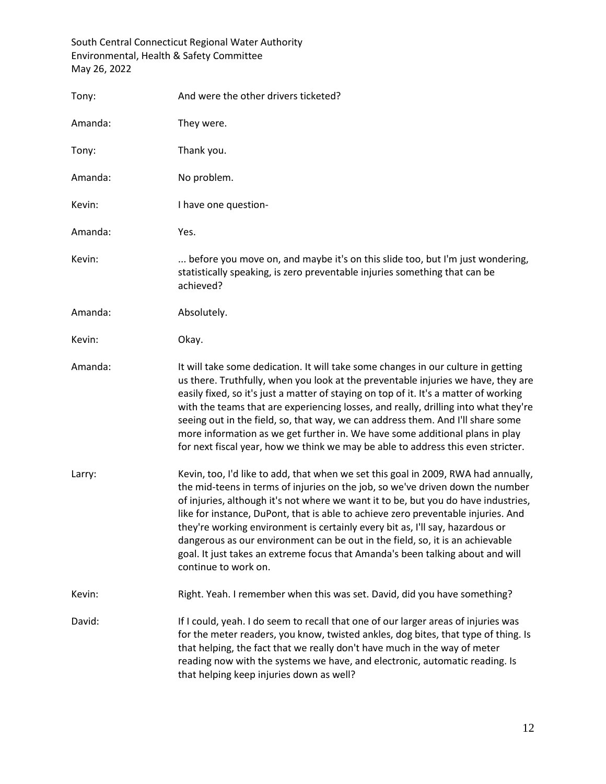| Tony:   | And were the other drivers ticketed?                                                                                                                                                                                                                                                                                                                                                                                                                                                                                                                                                                                        |
|---------|-----------------------------------------------------------------------------------------------------------------------------------------------------------------------------------------------------------------------------------------------------------------------------------------------------------------------------------------------------------------------------------------------------------------------------------------------------------------------------------------------------------------------------------------------------------------------------------------------------------------------------|
| Amanda: | They were.                                                                                                                                                                                                                                                                                                                                                                                                                                                                                                                                                                                                                  |
| Tony:   | Thank you.                                                                                                                                                                                                                                                                                                                                                                                                                                                                                                                                                                                                                  |
| Amanda: | No problem.                                                                                                                                                                                                                                                                                                                                                                                                                                                                                                                                                                                                                 |
| Kevin:  | I have one question-                                                                                                                                                                                                                                                                                                                                                                                                                                                                                                                                                                                                        |
| Amanda: | Yes.                                                                                                                                                                                                                                                                                                                                                                                                                                                                                                                                                                                                                        |
| Kevin:  | before you move on, and maybe it's on this slide too, but I'm just wondering,<br>statistically speaking, is zero preventable injuries something that can be<br>achieved?                                                                                                                                                                                                                                                                                                                                                                                                                                                    |
| Amanda: | Absolutely.                                                                                                                                                                                                                                                                                                                                                                                                                                                                                                                                                                                                                 |
| Kevin:  | Okay.                                                                                                                                                                                                                                                                                                                                                                                                                                                                                                                                                                                                                       |
| Amanda: | It will take some dedication. It will take some changes in our culture in getting<br>us there. Truthfully, when you look at the preventable injuries we have, they are<br>easily fixed, so it's just a matter of staying on top of it. It's a matter of working<br>with the teams that are experiencing losses, and really, drilling into what they're<br>seeing out in the field, so, that way, we can address them. And I'll share some<br>more information as we get further in. We have some additional plans in play<br>for next fiscal year, how we think we may be able to address this even stricter.               |
| Larry:  | Kevin, too, I'd like to add, that when we set this goal in 2009, RWA had annually,<br>the mid-teens in terms of injuries on the job, so we've driven down the number<br>of injuries, although it's not where we want it to be, but you do have industries,<br>like for instance, DuPont, that is able to achieve zero preventable injuries. And<br>they're working environment is certainly every bit as, I'll say, hazardous or<br>dangerous as our environment can be out in the field, so, it is an achievable<br>goal. It just takes an extreme focus that Amanda's been talking about and will<br>continue to work on. |
| Kevin:  | Right. Yeah. I remember when this was set. David, did you have something?                                                                                                                                                                                                                                                                                                                                                                                                                                                                                                                                                   |
| David:  | If I could, yeah. I do seem to recall that one of our larger areas of injuries was<br>for the meter readers, you know, twisted ankles, dog bites, that type of thing. Is<br>that helping, the fact that we really don't have much in the way of meter<br>reading now with the systems we have, and electronic, automatic reading. Is<br>that helping keep injuries down as well?                                                                                                                                                                                                                                            |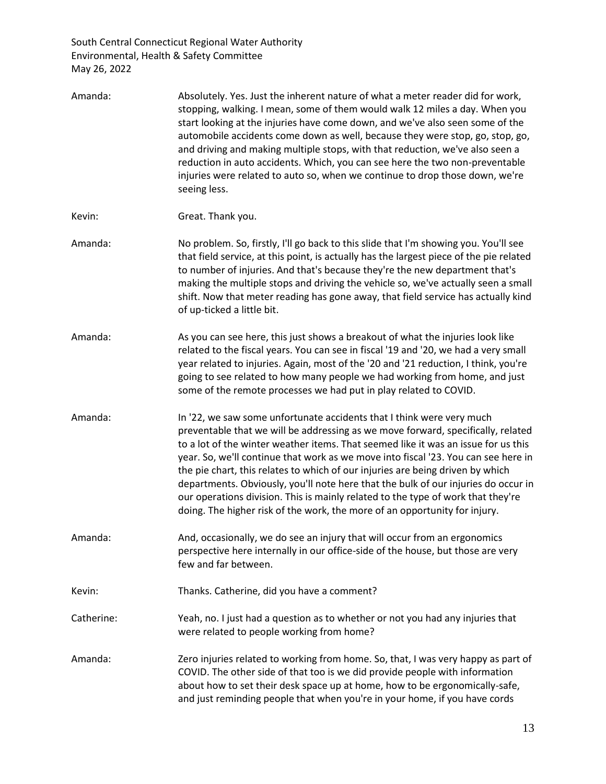| Amanda:    | Absolutely. Yes. Just the inherent nature of what a meter reader did for work,<br>stopping, walking. I mean, some of them would walk 12 miles a day. When you<br>start looking at the injuries have come down, and we've also seen some of the<br>automobile accidents come down as well, because they were stop, go, stop, go,<br>and driving and making multiple stops, with that reduction, we've also seen a<br>reduction in auto accidents. Which, you can see here the two non-preventable<br>injuries were related to auto so, when we continue to drop those down, we're<br>seeing less.                                                                                |
|------------|---------------------------------------------------------------------------------------------------------------------------------------------------------------------------------------------------------------------------------------------------------------------------------------------------------------------------------------------------------------------------------------------------------------------------------------------------------------------------------------------------------------------------------------------------------------------------------------------------------------------------------------------------------------------------------|
| Kevin:     | Great. Thank you.                                                                                                                                                                                                                                                                                                                                                                                                                                                                                                                                                                                                                                                               |
| Amanda:    | No problem. So, firstly, I'll go back to this slide that I'm showing you. You'll see<br>that field service, at this point, is actually has the largest piece of the pie related<br>to number of injuries. And that's because they're the new department that's<br>making the multiple stops and driving the vehicle so, we've actually seen a small<br>shift. Now that meter reading has gone away, that field service has actually kind<br>of up-ticked a little bit.                                                                                                                                                                                                          |
| Amanda:    | As you can see here, this just shows a breakout of what the injuries look like<br>related to the fiscal years. You can see in fiscal '19 and '20, we had a very small<br>year related to injuries. Again, most of the '20 and '21 reduction, I think, you're<br>going to see related to how many people we had working from home, and just<br>some of the remote processes we had put in play related to COVID.                                                                                                                                                                                                                                                                 |
| Amanda:    | In '22, we saw some unfortunate accidents that I think were very much<br>preventable that we will be addressing as we move forward, specifically, related<br>to a lot of the winter weather items. That seemed like it was an issue for us this<br>year. So, we'll continue that work as we move into fiscal '23. You can see here in<br>the pie chart, this relates to which of our injuries are being driven by which<br>departments. Obviously, you'll note here that the bulk of our injuries do occur in<br>our operations division. This is mainly related to the type of work that they're<br>doing. The higher risk of the work, the more of an opportunity for injury. |
| Amanda:    | And, occasionally, we do see an injury that will occur from an ergonomics<br>perspective here internally in our office-side of the house, but those are very<br>few and far between.                                                                                                                                                                                                                                                                                                                                                                                                                                                                                            |
| Kevin:     | Thanks. Catherine, did you have a comment?                                                                                                                                                                                                                                                                                                                                                                                                                                                                                                                                                                                                                                      |
| Catherine: | Yeah, no. I just had a question as to whether or not you had any injuries that<br>were related to people working from home?                                                                                                                                                                                                                                                                                                                                                                                                                                                                                                                                                     |
| Amanda:    | Zero injuries related to working from home. So, that, I was very happy as part of<br>COVID. The other side of that too is we did provide people with information<br>about how to set their desk space up at home, how to be ergonomically-safe,<br>and just reminding people that when you're in your home, if you have cords                                                                                                                                                                                                                                                                                                                                                   |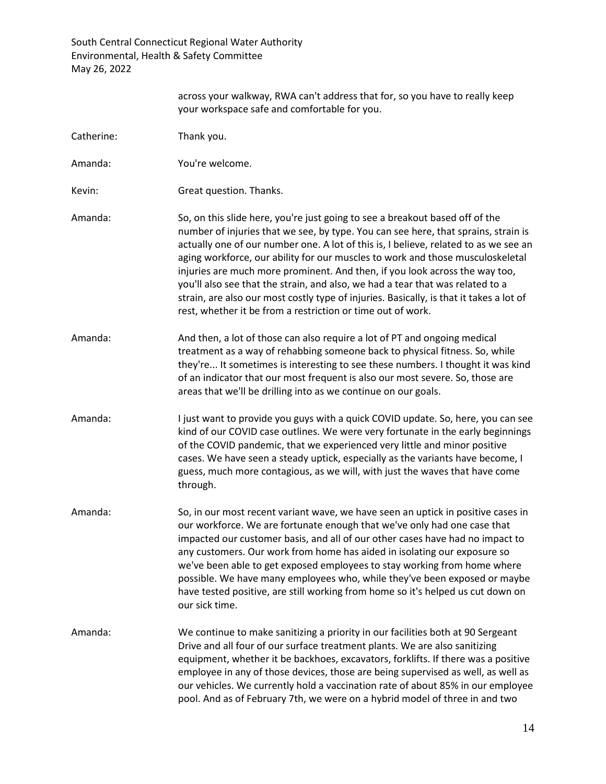|            | across your walkway, RWA can't address that for, so you have to really keep<br>your workspace safe and comfortable for you.                                                                                                                                                                                                                                                                                                                                                                                                                                                                                                                                             |
|------------|-------------------------------------------------------------------------------------------------------------------------------------------------------------------------------------------------------------------------------------------------------------------------------------------------------------------------------------------------------------------------------------------------------------------------------------------------------------------------------------------------------------------------------------------------------------------------------------------------------------------------------------------------------------------------|
| Catherine: | Thank you.                                                                                                                                                                                                                                                                                                                                                                                                                                                                                                                                                                                                                                                              |
| Amanda:    | You're welcome.                                                                                                                                                                                                                                                                                                                                                                                                                                                                                                                                                                                                                                                         |
| Kevin:     | Great question. Thanks.                                                                                                                                                                                                                                                                                                                                                                                                                                                                                                                                                                                                                                                 |
| Amanda:    | So, on this slide here, you're just going to see a breakout based off of the<br>number of injuries that we see, by type. You can see here, that sprains, strain is<br>actually one of our number one. A lot of this is, I believe, related to as we see an<br>aging workforce, our ability for our muscles to work and those musculoskeletal<br>injuries are much more prominent. And then, if you look across the way too,<br>you'll also see that the strain, and also, we had a tear that was related to a<br>strain, are also our most costly type of injuries. Basically, is that it takes a lot of<br>rest, whether it be from a restriction or time out of work. |
| Amanda:    | And then, a lot of those can also require a lot of PT and ongoing medical<br>treatment as a way of rehabbing someone back to physical fitness. So, while<br>they're It sometimes is interesting to see these numbers. I thought it was kind<br>of an indicator that our most frequent is also our most severe. So, those are<br>areas that we'll be drilling into as we continue on our goals.                                                                                                                                                                                                                                                                          |
| Amanda:    | I just want to provide you guys with a quick COVID update. So, here, you can see<br>kind of our COVID case outlines. We were very fortunate in the early beginnings<br>of the COVID pandemic, that we experienced very little and minor positive<br>cases. We have seen a steady uptick, especially as the variants have become, I<br>guess, much more contagious, as we will, with just the waves that have come<br>through.                                                                                                                                                                                                                                           |
| Amanda:    | So, in our most recent variant wave, we have seen an uptick in positive cases in<br>our workforce. We are fortunate enough that we've only had one case that<br>impacted our customer basis, and all of our other cases have had no impact to<br>any customers. Our work from home has aided in isolating our exposure so<br>we've been able to get exposed employees to stay working from home where<br>possible. We have many employees who, while they've been exposed or maybe<br>have tested positive, are still working from home so it's helped us cut down on<br>our sick time.                                                                                 |
| Amanda:    | We continue to make sanitizing a priority in our facilities both at 90 Sergeant<br>Drive and all four of our surface treatment plants. We are also sanitizing<br>equipment, whether it be backhoes, excavators, forklifts. If there was a positive<br>employee in any of those devices, those are being supervised as well, as well as<br>our vehicles. We currently hold a vaccination rate of about 85% in our employee<br>pool. And as of February 7th, we were on a hybrid model of three in and two                                                                                                                                                                |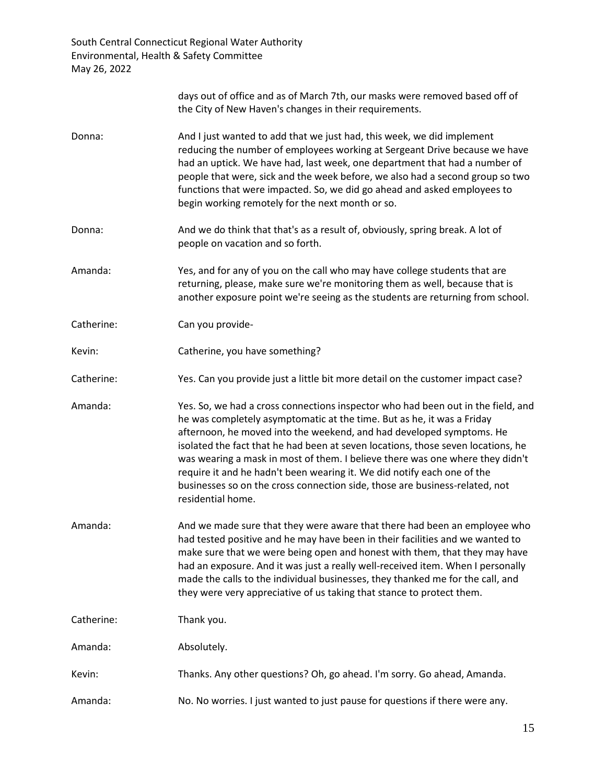|            | days out of office and as of March 7th, our masks were removed based off of<br>the City of New Haven's changes in their requirements.                                                                                                                                                                                                                                                                                                                                                                                                                                                  |
|------------|----------------------------------------------------------------------------------------------------------------------------------------------------------------------------------------------------------------------------------------------------------------------------------------------------------------------------------------------------------------------------------------------------------------------------------------------------------------------------------------------------------------------------------------------------------------------------------------|
| Donna:     | And I just wanted to add that we just had, this week, we did implement<br>reducing the number of employees working at Sergeant Drive because we have<br>had an uptick. We have had, last week, one department that had a number of<br>people that were, sick and the week before, we also had a second group so two<br>functions that were impacted. So, we did go ahead and asked employees to<br>begin working remotely for the next month or so.                                                                                                                                    |
| Donna:     | And we do think that that's as a result of, obviously, spring break. A lot of<br>people on vacation and so forth.                                                                                                                                                                                                                                                                                                                                                                                                                                                                      |
| Amanda:    | Yes, and for any of you on the call who may have college students that are<br>returning, please, make sure we're monitoring them as well, because that is<br>another exposure point we're seeing as the students are returning from school.                                                                                                                                                                                                                                                                                                                                            |
| Catherine: | Can you provide-                                                                                                                                                                                                                                                                                                                                                                                                                                                                                                                                                                       |
| Kevin:     | Catherine, you have something?                                                                                                                                                                                                                                                                                                                                                                                                                                                                                                                                                         |
| Catherine: | Yes. Can you provide just a little bit more detail on the customer impact case?                                                                                                                                                                                                                                                                                                                                                                                                                                                                                                        |
| Amanda:    | Yes. So, we had a cross connections inspector who had been out in the field, and<br>he was completely asymptomatic at the time. But as he, it was a Friday<br>afternoon, he moved into the weekend, and had developed symptoms. He<br>isolated the fact that he had been at seven locations, those seven locations, he<br>was wearing a mask in most of them. I believe there was one where they didn't<br>require it and he hadn't been wearing it. We did notify each one of the<br>businesses so on the cross connection side, those are business-related, not<br>residential home. |
| Amanda:    | And we made sure that they were aware that there had been an employee who<br>had tested positive and he may have been in their facilities and we wanted to<br>make sure that we were being open and honest with them, that they may have<br>had an exposure. And it was just a really well-received item. When I personally<br>made the calls to the individual businesses, they thanked me for the call, and<br>they were very appreciative of us taking that stance to protect them.                                                                                                 |
| Catherine: | Thank you.                                                                                                                                                                                                                                                                                                                                                                                                                                                                                                                                                                             |
| Amanda:    | Absolutely.                                                                                                                                                                                                                                                                                                                                                                                                                                                                                                                                                                            |
| Kevin:     | Thanks. Any other questions? Oh, go ahead. I'm sorry. Go ahead, Amanda.                                                                                                                                                                                                                                                                                                                                                                                                                                                                                                                |
| Amanda:    | No. No worries. I just wanted to just pause for questions if there were any.                                                                                                                                                                                                                                                                                                                                                                                                                                                                                                           |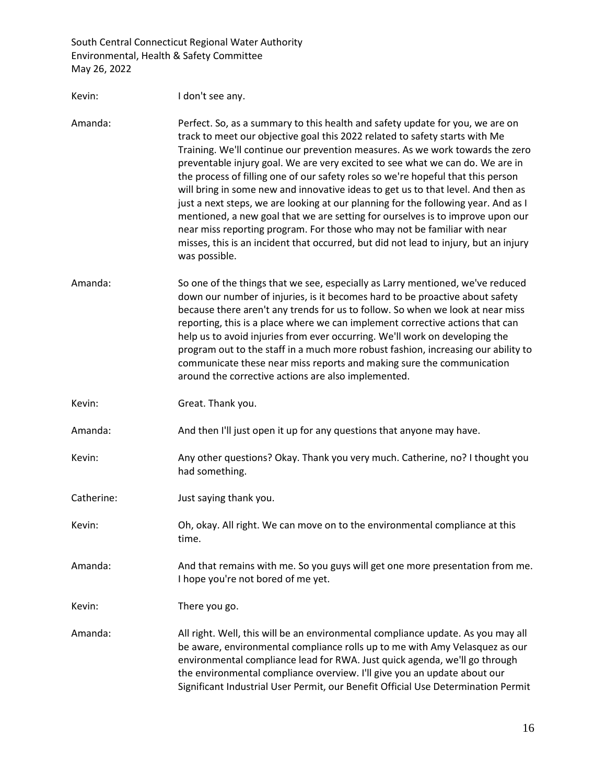| Kevin:     | I don't see any.                                                                                                                                                                                                                                                                                                                                                                                                                                                                                                                                                                                                                                                                                                                                                                                                                                                    |
|------------|---------------------------------------------------------------------------------------------------------------------------------------------------------------------------------------------------------------------------------------------------------------------------------------------------------------------------------------------------------------------------------------------------------------------------------------------------------------------------------------------------------------------------------------------------------------------------------------------------------------------------------------------------------------------------------------------------------------------------------------------------------------------------------------------------------------------------------------------------------------------|
| Amanda:    | Perfect. So, as a summary to this health and safety update for you, we are on<br>track to meet our objective goal this 2022 related to safety starts with Me<br>Training. We'll continue our prevention measures. As we work towards the zero<br>preventable injury goal. We are very excited to see what we can do. We are in<br>the process of filling one of our safety roles so we're hopeful that this person<br>will bring in some new and innovative ideas to get us to that level. And then as<br>just a next steps, we are looking at our planning for the following year. And as I<br>mentioned, a new goal that we are setting for ourselves is to improve upon our<br>near miss reporting program. For those who may not be familiar with near<br>misses, this is an incident that occurred, but did not lead to injury, but an injury<br>was possible. |
| Amanda:    | So one of the things that we see, especially as Larry mentioned, we've reduced<br>down our number of injuries, is it becomes hard to be proactive about safety<br>because there aren't any trends for us to follow. So when we look at near miss<br>reporting, this is a place where we can implement corrective actions that can<br>help us to avoid injuries from ever occurring. We'll work on developing the<br>program out to the staff in a much more robust fashion, increasing our ability to<br>communicate these near miss reports and making sure the communication<br>around the corrective actions are also implemented.                                                                                                                                                                                                                               |
| Kevin:     | Great. Thank you.                                                                                                                                                                                                                                                                                                                                                                                                                                                                                                                                                                                                                                                                                                                                                                                                                                                   |
| Amanda:    | And then I'll just open it up for any questions that anyone may have.                                                                                                                                                                                                                                                                                                                                                                                                                                                                                                                                                                                                                                                                                                                                                                                               |
| Kevin:     | Any other questions? Okay. Thank you very much. Catherine, no? I thought you<br>had something.                                                                                                                                                                                                                                                                                                                                                                                                                                                                                                                                                                                                                                                                                                                                                                      |
| Catherine: | Just saying thank you.                                                                                                                                                                                                                                                                                                                                                                                                                                                                                                                                                                                                                                                                                                                                                                                                                                              |
| Kevin:     | Oh, okay. All right. We can move on to the environmental compliance at this<br>time.                                                                                                                                                                                                                                                                                                                                                                                                                                                                                                                                                                                                                                                                                                                                                                                |
| Amanda:    | And that remains with me. So you guys will get one more presentation from me.<br>I hope you're not bored of me yet.                                                                                                                                                                                                                                                                                                                                                                                                                                                                                                                                                                                                                                                                                                                                                 |
| Kevin:     | There you go.                                                                                                                                                                                                                                                                                                                                                                                                                                                                                                                                                                                                                                                                                                                                                                                                                                                       |
| Amanda:    | All right. Well, this will be an environmental compliance update. As you may all<br>be aware, environmental compliance rolls up to me with Amy Velasquez as our<br>environmental compliance lead for RWA. Just quick agenda, we'll go through<br>the environmental compliance overview. I'll give you an update about our<br>Significant Industrial User Permit, our Benefit Official Use Determination Permit                                                                                                                                                                                                                                                                                                                                                                                                                                                      |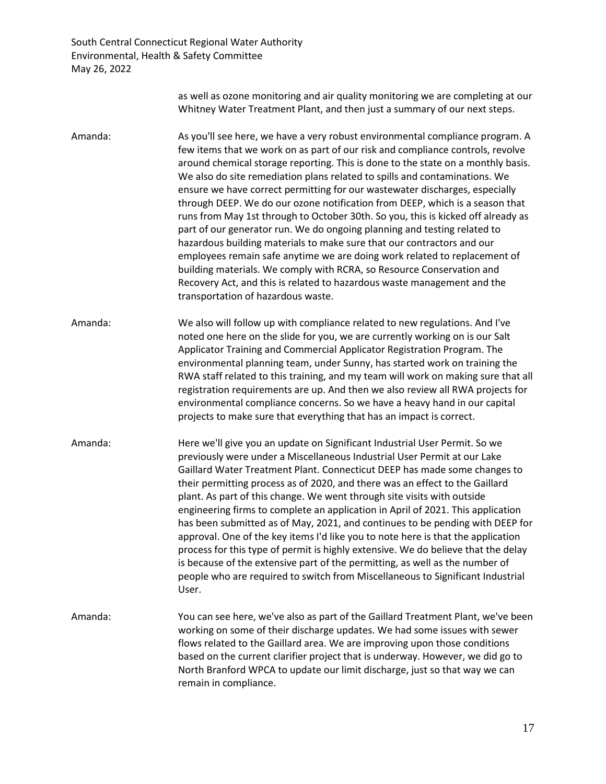> as well as ozone monitoring and air quality monitoring we are completing at our Whitney Water Treatment Plant, and then just a summary of our next steps.

Amanda: As you'll see here, we have a very robust environmental compliance program. A few items that we work on as part of our risk and compliance controls, revolve around chemical storage reporting. This is done to the state on a monthly basis. We also do site remediation plans related to spills and contaminations. We ensure we have correct permitting for our wastewater discharges, especially through DEEP. We do our ozone notification from DEEP, which is a season that runs from May 1st through to October 30th. So you, this is kicked off already as part of our generator run. We do ongoing planning and testing related to hazardous building materials to make sure that our contractors and our employees remain safe anytime we are doing work related to replacement of building materials. We comply with RCRA, so Resource Conservation and Recovery Act, and this is related to hazardous waste management and the transportation of hazardous waste.

Amanda: We also will follow up with compliance related to new regulations. And I've noted one here on the slide for you, we are currently working on is our Salt Applicator Training and Commercial Applicator Registration Program. The environmental planning team, under Sunny, has started work on training the RWA staff related to this training, and my team will work on making sure that all registration requirements are up. And then we also review all RWA projects for environmental compliance concerns. So we have a heavy hand in our capital projects to make sure that everything that has an impact is correct.

Amanda: Here we'll give you an update on Significant Industrial User Permit. So we previously were under a Miscellaneous Industrial User Permit at our Lake Gaillard Water Treatment Plant. Connecticut DEEP has made some changes to their permitting process as of 2020, and there was an effect to the Gaillard plant. As part of this change. We went through site visits with outside engineering firms to complete an application in April of 2021. This application has been submitted as of May, 2021, and continues to be pending with DEEP for approval. One of the key items I'd like you to note here is that the application process for this type of permit is highly extensive. We do believe that the delay is because of the extensive part of the permitting, as well as the number of people who are required to switch from Miscellaneous to Significant Industrial User.

Amanda: You can see here, we've also as part of the Gaillard Treatment Plant, we've been working on some of their discharge updates. We had some issues with sewer flows related to the Gaillard area. We are improving upon those conditions based on the current clarifier project that is underway. However, we did go to North Branford WPCA to update our limit discharge, just so that way we can remain in compliance.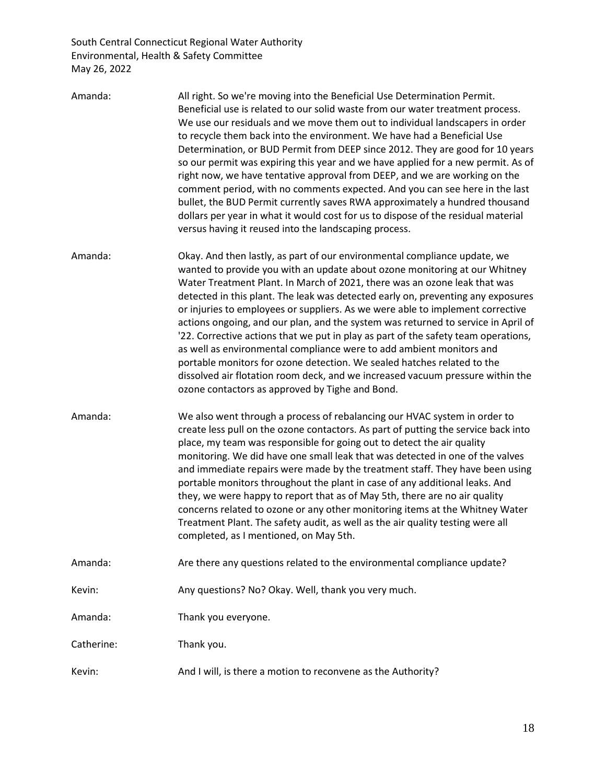| Amanda:    | All right. So we're moving into the Beneficial Use Determination Permit.<br>Beneficial use is related to our solid waste from our water treatment process.<br>We use our residuals and we move them out to individual landscapers in order<br>to recycle them back into the environment. We have had a Beneficial Use<br>Determination, or BUD Permit from DEEP since 2012. They are good for 10 years<br>so our permit was expiring this year and we have applied for a new permit. As of<br>right now, we have tentative approval from DEEP, and we are working on the<br>comment period, with no comments expected. And you can see here in the last<br>bullet, the BUD Permit currently saves RWA approximately a hundred thousand<br>dollars per year in what it would cost for us to dispose of the residual material<br>versus having it reused into the landscaping process. |
|------------|--------------------------------------------------------------------------------------------------------------------------------------------------------------------------------------------------------------------------------------------------------------------------------------------------------------------------------------------------------------------------------------------------------------------------------------------------------------------------------------------------------------------------------------------------------------------------------------------------------------------------------------------------------------------------------------------------------------------------------------------------------------------------------------------------------------------------------------------------------------------------------------|
| Amanda:    | Okay. And then lastly, as part of our environmental compliance update, we<br>wanted to provide you with an update about ozone monitoring at our Whitney<br>Water Treatment Plant. In March of 2021, there was an ozone leak that was<br>detected in this plant. The leak was detected early on, preventing any exposures<br>or injuries to employees or suppliers. As we were able to implement corrective<br>actions ongoing, and our plan, and the system was returned to service in April of<br>'22. Corrective actions that we put in play as part of the safety team operations,<br>as well as environmental compliance were to add ambient monitors and<br>portable monitors for ozone detection. We sealed hatches related to the<br>dissolved air flotation room deck, and we increased vacuum pressure within the<br>ozone contactors as approved by Tighe and Bond.        |
| Amanda:    | We also went through a process of rebalancing our HVAC system in order to<br>create less pull on the ozone contactors. As part of putting the service back into<br>place, my team was responsible for going out to detect the air quality<br>monitoring. We did have one small leak that was detected in one of the valves<br>and immediate repairs were made by the treatment staff. They have been using<br>portable monitors throughout the plant in case of any additional leaks. And<br>they, we were happy to report that as of May 5th, there are no air quality<br>concerns related to ozone or any other monitoring items at the Whitney Water<br>Treatment Plant. The safety audit, as well as the air quality testing were all<br>completed, as I mentioned, on May 5th.                                                                                                  |
| Amanda:    | Are there any questions related to the environmental compliance update?                                                                                                                                                                                                                                                                                                                                                                                                                                                                                                                                                                                                                                                                                                                                                                                                              |
| Kevin:     | Any questions? No? Okay. Well, thank you very much.                                                                                                                                                                                                                                                                                                                                                                                                                                                                                                                                                                                                                                                                                                                                                                                                                                  |
| Amanda:    | Thank you everyone.                                                                                                                                                                                                                                                                                                                                                                                                                                                                                                                                                                                                                                                                                                                                                                                                                                                                  |
| Catherine: | Thank you.                                                                                                                                                                                                                                                                                                                                                                                                                                                                                                                                                                                                                                                                                                                                                                                                                                                                           |
| Kevin:     | And I will, is there a motion to reconvene as the Authority?                                                                                                                                                                                                                                                                                                                                                                                                                                                                                                                                                                                                                                                                                                                                                                                                                         |